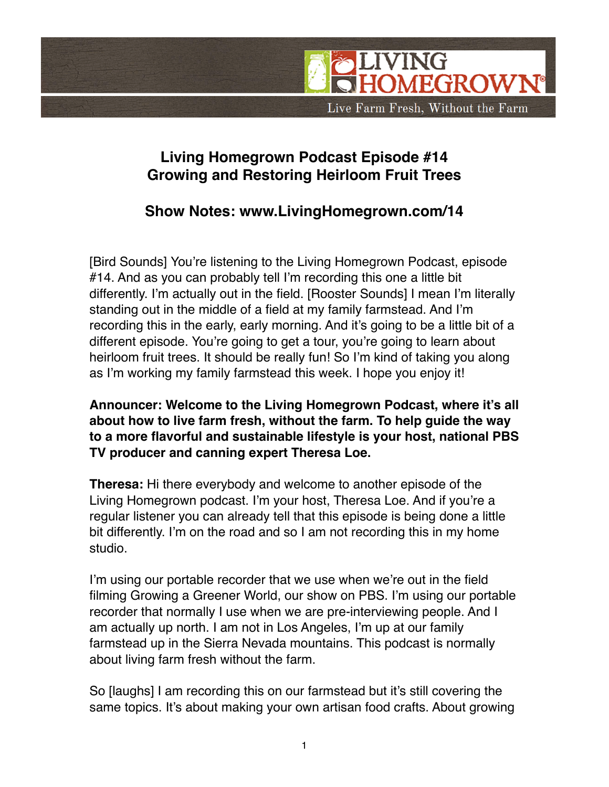

## **Living Homegrown Podcast Episode #14 Growing and Restoring Heirloom Fruit Trees**

## **Show Notes: www.LivingHomegrown.com/14**

[Bird Sounds] You're listening to the Living Homegrown Podcast, episode #14. And as you can probably tell I'm recording this one a little bit differently. I'm actually out in the field. [Rooster Sounds] I mean I'm literally standing out in the middle of a field at my family farmstead. And I'm recording this in the early, early morning. And it's going to be a little bit of a different episode. You're going to get a tour, you're going to learn about heirloom fruit trees. It should be really fun! So I'm kind of taking you along as I'm working my family farmstead this week. I hope you enjoy it!

**Announcer: Welcome to the Living Homegrown Podcast, where it's all about how to live farm fresh, without the farm. To help guide the way to a more flavorful and sustainable lifestyle is your host, national PBS TV producer and canning expert Theresa Loe.**

**Theresa:** Hi there everybody and welcome to another episode of the Living Homegrown podcast. I'm your host, Theresa Loe. And if you're a regular listener you can already tell that this episode is being done a little bit differently. I'm on the road and so I am not recording this in my home studio.

I'm using our portable recorder that we use when we're out in the field filming Growing a Greener World, our show on PBS. I'm using our portable recorder that normally I use when we are pre-interviewing people. And I am actually up north. I am not in Los Angeles, I'm up at our family farmstead up in the Sierra Nevada mountains. This podcast is normally about living farm fresh without the farm.

So [laughs] I am recording this on our farmstead but it's still covering the same topics. It's about making your own artisan food crafts. About growing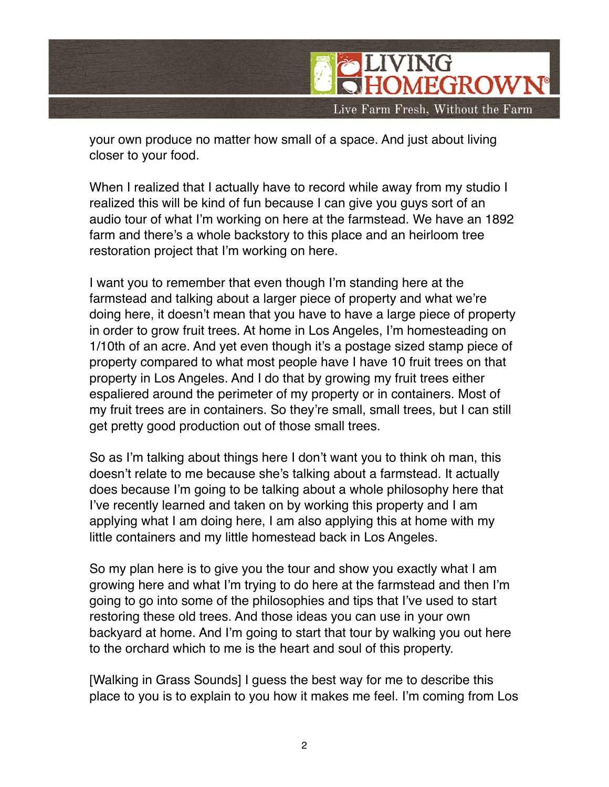

your own produce no matter how small of a space. And just about living closer to your food.

When I realized that I actually have to record while away from my studio I realized this will be kind of fun because I can give you guys sort of an audio tour of what I'm working on here at the farmstead. We have an 1892 farm and there's a whole backstory to this place and an heirloom tree restoration project that I'm working on here.

I want you to remember that even though I'm standing here at the farmstead and talking about a larger piece of property and what we're doing here, it doesn't mean that you have to have a large piece of property in order to grow fruit trees. At home in Los Angeles, I'm homesteading on 1/10th of an acre. And yet even though it's a postage sized stamp piece of property compared to what most people have I have 10 fruit trees on that property in Los Angeles. And I do that by growing my fruit trees either espaliered around the perimeter of my property or in containers. Most of my fruit trees are in containers. So they're small, small trees, but I can still get pretty good production out of those small trees.

So as I'm talking about things here I don't want you to think oh man, this doesn't relate to me because she's talking about a farmstead. It actually does because I'm going to be talking about a whole philosophy here that I've recently learned and taken on by working this property and I am applying what I am doing here, I am also applying this at home with my little containers and my little homestead back in Los Angeles.

So my plan here is to give you the tour and show you exactly what I am growing here and what I'm trying to do here at the farmstead and then I'm going to go into some of the philosophies and tips that I've used to start restoring these old trees. And those ideas you can use in your own backyard at home. And I'm going to start that tour by walking you out here to the orchard which to me is the heart and soul of this property.

[Walking in Grass Sounds] I guess the best way for me to describe this place to you is to explain to you how it makes me feel. I'm coming from Los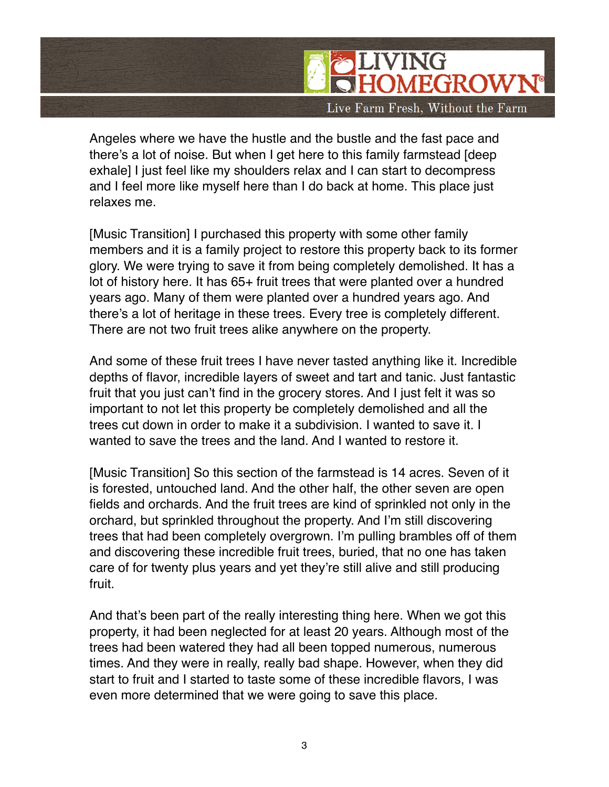## LIVING **HOMEGROWN®** Live Farm Fresh, Without the Farm

Angeles where we have the hustle and the bustle and the fast pace and there's a lot of noise. But when I get here to this family farmstead [deep exhale] I just feel like my shoulders relax and I can start to decompress and I feel more like myself here than I do back at home. This place just relaxes me.

[Music Transition] I purchased this property with some other family members and it is a family project to restore this property back to its former glory. We were trying to save it from being completely demolished. It has a lot of history here. It has 65+ fruit trees that were planted over a hundred years ago. Many of them were planted over a hundred years ago. And there's a lot of heritage in these trees. Every tree is completely different. There are not two fruit trees alike anywhere on the property.

And some of these fruit trees I have never tasted anything like it. Incredible depths of flavor, incredible layers of sweet and tart and tanic. Just fantastic fruit that you just can't find in the grocery stores. And I just felt it was so important to not let this property be completely demolished and all the trees cut down in order to make it a subdivision. I wanted to save it. I wanted to save the trees and the land. And I wanted to restore it.

[Music Transition] So this section of the farmstead is 14 acres. Seven of it is forested, untouched land. And the other half, the other seven are open fields and orchards. And the fruit trees are kind of sprinkled not only in the orchard, but sprinkled throughout the property. And I'm still discovering trees that had been completely overgrown. I'm pulling brambles off of them and discovering these incredible fruit trees, buried, that no one has taken care of for twenty plus years and yet they're still alive and still producing fruit.

And that's been part of the really interesting thing here. When we got this property, it had been neglected for at least 20 years. Although most of the trees had been watered they had all been topped numerous, numerous times. And they were in really, really bad shape. However, when they did start to fruit and I started to taste some of these incredible flavors, I was even more determined that we were going to save this place.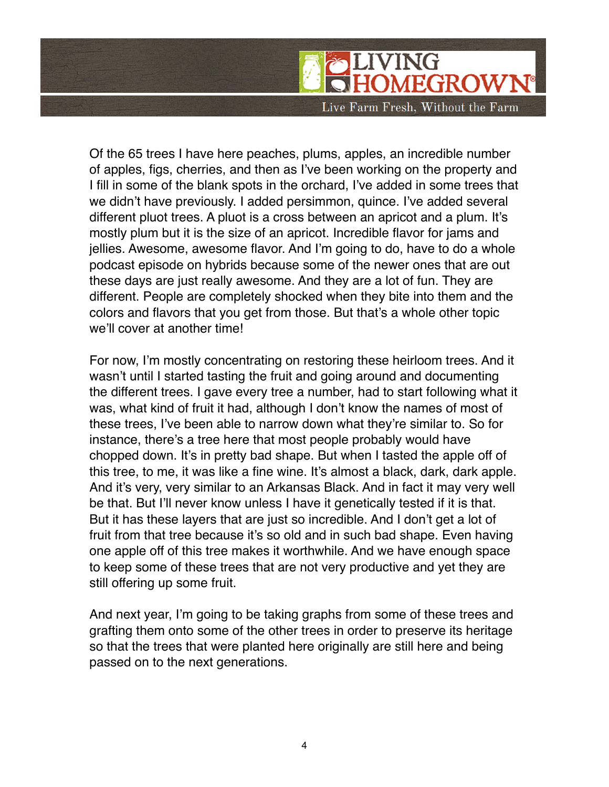

Of the 65 trees I have here peaches, plums, apples, an incredible number of apples, figs, cherries, and then as I've been working on the property and I fill in some of the blank spots in the orchard, I've added in some trees that we didn't have previously. I added persimmon, quince. I've added several different pluot trees. A pluot is a cross between an apricot and a plum. It's mostly plum but it is the size of an apricot. Incredible flavor for jams and jellies. Awesome, awesome flavor. And I'm going to do, have to do a whole podcast episode on hybrids because some of the newer ones that are out these days are just really awesome. And they are a lot of fun. They are different. People are completely shocked when they bite into them and the colors and flavors that you get from those. But that's a whole other topic we'll cover at another time!

For now, I'm mostly concentrating on restoring these heirloom trees. And it wasn't until I started tasting the fruit and going around and documenting the different trees. I gave every tree a number, had to start following what it was, what kind of fruit it had, although I don't know the names of most of these trees, I've been able to narrow down what they're similar to. So for instance, there's a tree here that most people probably would have chopped down. It's in pretty bad shape. But when I tasted the apple off of this tree, to me, it was like a fine wine. It's almost a black, dark, dark apple. And it's very, very similar to an Arkansas Black. And in fact it may very well be that. But I'll never know unless I have it genetically tested if it is that. But it has these layers that are just so incredible. And I don't get a lot of fruit from that tree because it's so old and in such bad shape. Even having one apple off of this tree makes it worthwhile. And we have enough space to keep some of these trees that are not very productive and yet they are still offering up some fruit.

And next year, I'm going to be taking graphs from some of these trees and grafting them onto some of the other trees in order to preserve its heritage so that the trees that were planted here originally are still here and being passed on to the next generations.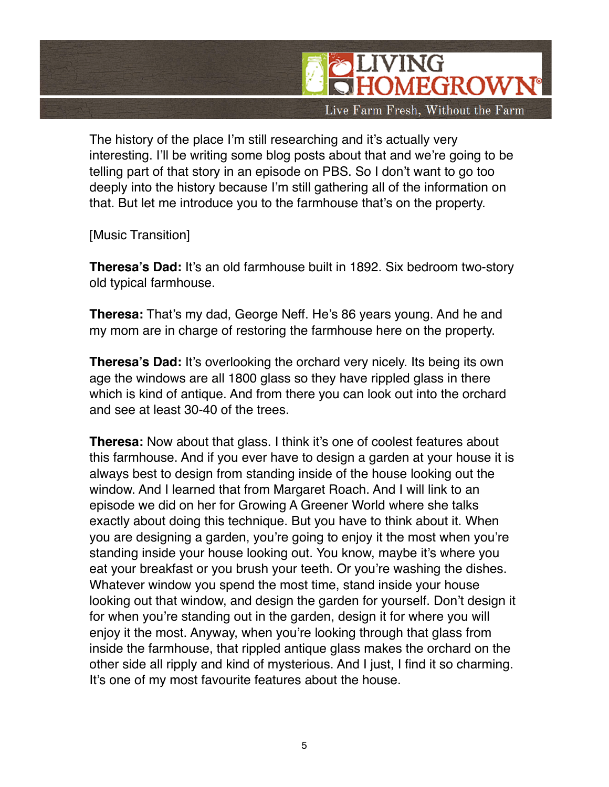

The history of the place I'm still researching and it's actually very interesting. I'll be writing some blog posts about that and we're going to be telling part of that story in an episode on PBS. So I don't want to go too deeply into the history because I'm still gathering all of the information on that. But let me introduce you to the farmhouse that's on the property.

[Music Transition]

**Theresa's Dad:** It's an old farmhouse built in 1892. Six bedroom two-story old typical farmhouse.

**Theresa:** That's my dad, George Neff. He's 86 years young. And he and my mom are in charge of restoring the farmhouse here on the property.

**Theresa's Dad:** It's overlooking the orchard very nicely. Its being its own age the windows are all 1800 glass so they have rippled glass in there which is kind of antique. And from there you can look out into the orchard and see at least 30-40 of the trees.

**Theresa:** Now about that glass. I think it's one of coolest features about this farmhouse. And if you ever have to design a garden at your house it is always best to design from standing inside of the house looking out the window. And I learned that from Margaret Roach. And I will link to an episode we did on her for Growing A Greener World where she talks exactly about doing this technique. But you have to think about it. When you are designing a garden, you're going to enjoy it the most when you're standing inside your house looking out. You know, maybe it's where you eat your breakfast or you brush your teeth. Or you're washing the dishes. Whatever window you spend the most time, stand inside your house looking out that window, and design the garden for yourself. Don't design it for when you're standing out in the garden, design it for where you will enjoy it the most. Anyway, when you're looking through that glass from inside the farmhouse, that rippled antique glass makes the orchard on the other side all ripply and kind of mysterious. And I just, I find it so charming. It's one of my most favourite features about the house.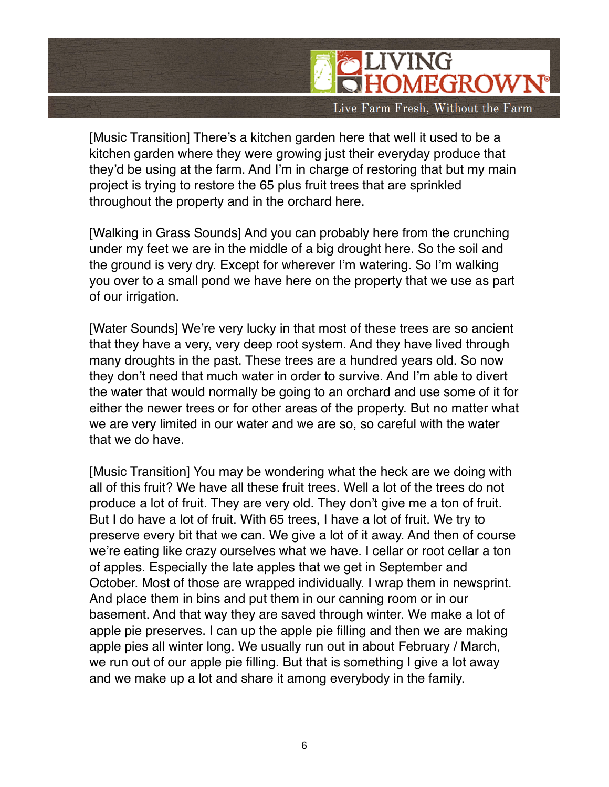LIVING HOMEGROWN Live Farm Fresh, Without the Farm

[Music Transition] There's a kitchen garden here that well it used to be a kitchen garden where they were growing just their everyday produce that they'd be using at the farm. And I'm in charge of restoring that but my main project is trying to restore the 65 plus fruit trees that are sprinkled throughout the property and in the orchard here.

[Walking in Grass Sounds] And you can probably here from the crunching under my feet we are in the middle of a big drought here. So the soil and the ground is very dry. Except for wherever I'm watering. So I'm walking you over to a small pond we have here on the property that we use as part of our irrigation.

[Water Sounds] We're very lucky in that most of these trees are so ancient that they have a very, very deep root system. And they have lived through many droughts in the past. These trees are a hundred years old. So now they don't need that much water in order to survive. And I'm able to divert the water that would normally be going to an orchard and use some of it for either the newer trees or for other areas of the property. But no matter what we are very limited in our water and we are so, so careful with the water that we do have.

[Music Transition] You may be wondering what the heck are we doing with all of this fruit? We have all these fruit trees. Well a lot of the trees do not produce a lot of fruit. They are very old. They don't give me a ton of fruit. But I do have a lot of fruit. With 65 trees, I have a lot of fruit. We try to preserve every bit that we can. We give a lot of it away. And then of course we're eating like crazy ourselves what we have. I cellar or root cellar a ton of apples. Especially the late apples that we get in September and October. Most of those are wrapped individually. I wrap them in newsprint. And place them in bins and put them in our canning room or in our basement. And that way they are saved through winter. We make a lot of apple pie preserves. I can up the apple pie filling and then we are making apple pies all winter long. We usually run out in about February / March, we run out of our apple pie filling. But that is something I give a lot away and we make up a lot and share it among everybody in the family.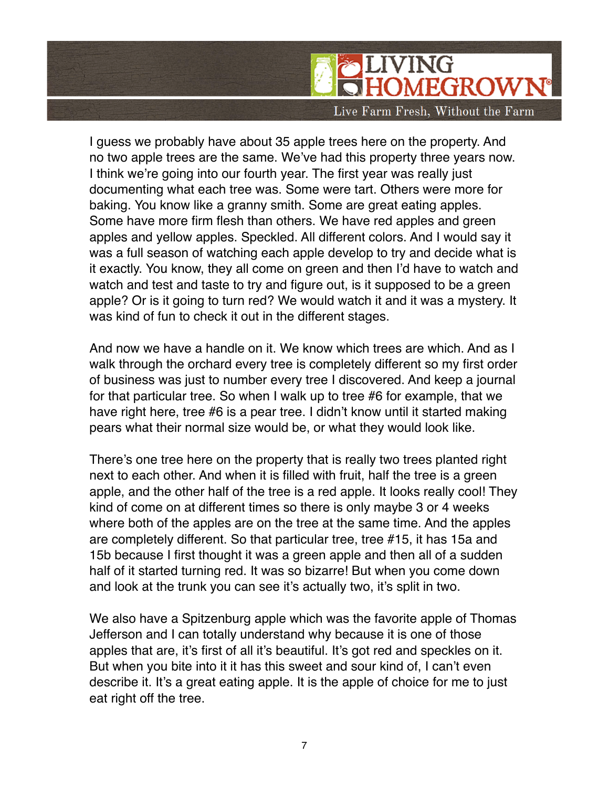LIVING **IOMEGROWI** 

Live Farm Fresh, Without the Farm

I guess we probably have about 35 apple trees here on the property. And no two apple trees are the same. We've had this property three years now. I think we're going into our fourth year. The first year was really just documenting what each tree was. Some were tart. Others were more for baking. You know like a granny smith. Some are great eating apples. Some have more firm flesh than others. We have red apples and green apples and yellow apples. Speckled. All different colors. And I would say it was a full season of watching each apple develop to try and decide what is it exactly. You know, they all come on green and then I'd have to watch and watch and test and taste to try and figure out, is it supposed to be a green apple? Or is it going to turn red? We would watch it and it was a mystery. It was kind of fun to check it out in the different stages.

And now we have a handle on it. We know which trees are which. And as I walk through the orchard every tree is completely different so my first order of business was just to number every tree I discovered. And keep a journal for that particular tree. So when I walk up to tree #6 for example, that we have right here, tree #6 is a pear tree. I didn't know until it started making pears what their normal size would be, or what they would look like.

There's one tree here on the property that is really two trees planted right next to each other. And when it is filled with fruit, half the tree is a green apple, and the other half of the tree is a red apple. It looks really cool! They kind of come on at different times so there is only maybe 3 or 4 weeks where both of the apples are on the tree at the same time. And the apples are completely different. So that particular tree, tree #15, it has 15a and 15b because I first thought it was a green apple and then all of a sudden half of it started turning red. It was so bizarre! But when you come down and look at the trunk you can see it's actually two, it's split in two.

We also have a Spitzenburg apple which was the favorite apple of Thomas Jefferson and I can totally understand why because it is one of those apples that are, it's first of all it's beautiful. It's got red and speckles on it. But when you bite into it it has this sweet and sour kind of, I can't even describe it. It's a great eating apple. It is the apple of choice for me to just eat right off the tree.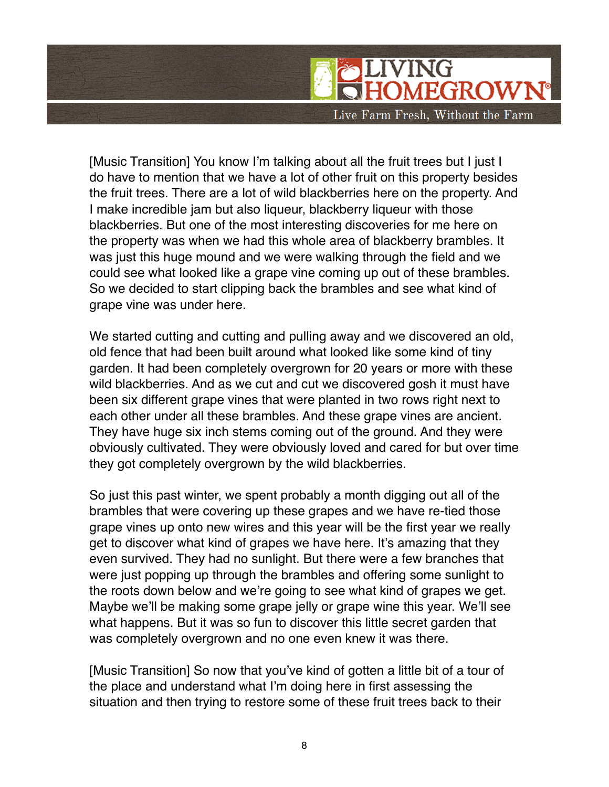LIVING HOMEGROWI Live Farm Fresh, Without the Farm

[Music Transition] You know I'm talking about all the fruit trees but I just I do have to mention that we have a lot of other fruit on this property besides the fruit trees. There are a lot of wild blackberries here on the property. And I make incredible jam but also liqueur, blackberry liqueur with those blackberries. But one of the most interesting discoveries for me here on the property was when we had this whole area of blackberry brambles. It was just this huge mound and we were walking through the field and we could see what looked like a grape vine coming up out of these brambles. So we decided to start clipping back the brambles and see what kind of grape vine was under here.

We started cutting and cutting and pulling away and we discovered an old, old fence that had been built around what looked like some kind of tiny garden. It had been completely overgrown for 20 years or more with these wild blackberries. And as we cut and cut we discovered gosh it must have been six different grape vines that were planted in two rows right next to each other under all these brambles. And these grape vines are ancient. They have huge six inch stems coming out of the ground. And they were obviously cultivated. They were obviously loved and cared for but over time they got completely overgrown by the wild blackberries.

So just this past winter, we spent probably a month digging out all of the brambles that were covering up these grapes and we have re-tied those grape vines up onto new wires and this year will be the first year we really get to discover what kind of grapes we have here. It's amazing that they even survived. They had no sunlight. But there were a few branches that were just popping up through the brambles and offering some sunlight to the roots down below and we're going to see what kind of grapes we get. Maybe we'll be making some grape jelly or grape wine this year. We'll see what happens. But it was so fun to discover this little secret garden that was completely overgrown and no one even knew it was there.

[Music Transition] So now that you've kind of gotten a little bit of a tour of the place and understand what I'm doing here in first assessing the situation and then trying to restore some of these fruit trees back to their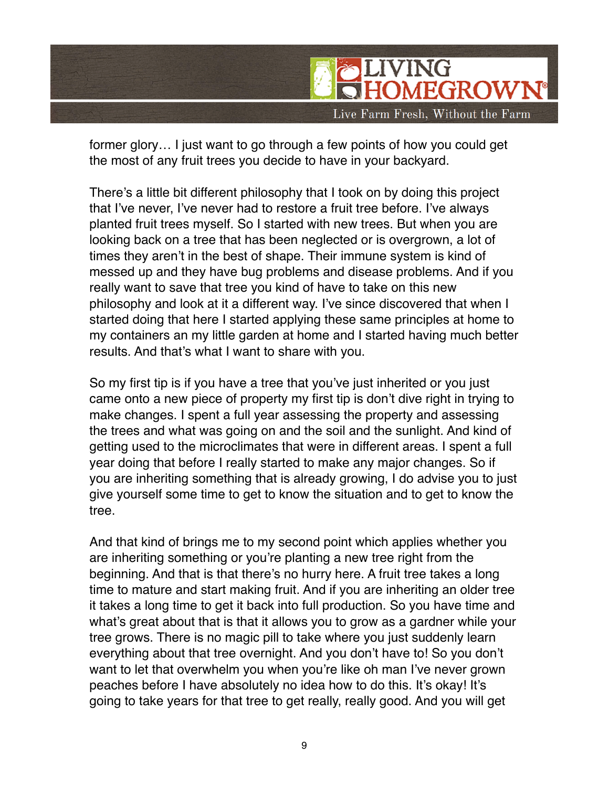

former glory… I just want to go through a few points of how you could get the most of any fruit trees you decide to have in your backyard.

There's a little bit different philosophy that I took on by doing this project that I've never, I've never had to restore a fruit tree before. I've always planted fruit trees myself. So I started with new trees. But when you are looking back on a tree that has been neglected or is overgrown, a lot of times they aren't in the best of shape. Their immune system is kind of messed up and they have bug problems and disease problems. And if you really want to save that tree you kind of have to take on this new philosophy and look at it a different way. I've since discovered that when I started doing that here I started applying these same principles at home to my containers an my little garden at home and I started having much better results. And that's what I want to share with you.

So my first tip is if you have a tree that you've just inherited or you just came onto a new piece of property my first tip is don't dive right in trying to make changes. I spent a full year assessing the property and assessing the trees and what was going on and the soil and the sunlight. And kind of getting used to the microclimates that were in different areas. I spent a full year doing that before I really started to make any major changes. So if you are inheriting something that is already growing, I do advise you to just give yourself some time to get to know the situation and to get to know the tree.

And that kind of brings me to my second point which applies whether you are inheriting something or you're planting a new tree right from the beginning. And that is that there's no hurry here. A fruit tree takes a long time to mature and start making fruit. And if you are inheriting an older tree it takes a long time to get it back into full production. So you have time and what's great about that is that it allows you to grow as a gardner while your tree grows. There is no magic pill to take where you just suddenly learn everything about that tree overnight. And you don't have to! So you don't want to let that overwhelm you when you're like oh man I've never grown peaches before I have absolutely no idea how to do this. It's okay! It's going to take years for that tree to get really, really good. And you will get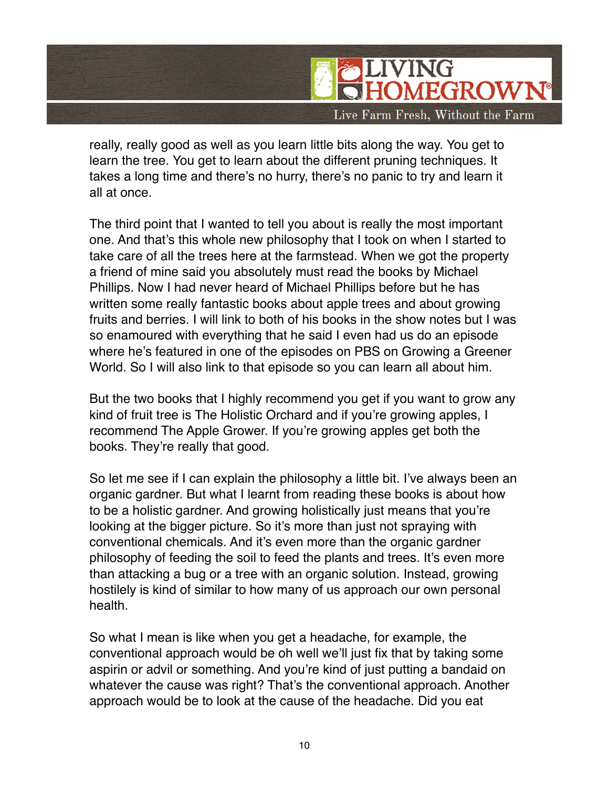

really, really good as well as you learn little bits along the way. You get to learn the tree. You get to learn about the different pruning techniques. It takes a long time and there's no hurry, there's no panic to try and learn it all at once.

The third point that I wanted to tell you about is really the most important one. And that's this whole new philosophy that I took on when I started to take care of all the trees here at the farmstead. When we got the property a friend of mine said you absolutely must read the books by Michael Phillips. Now I had never heard of Michael Phillips before but he has written some really fantastic books about apple trees and about growing fruits and berries. I will link to both of his books in the show notes but I was so enamoured with everything that he said I even had us do an episode where he's featured in one of the episodes on PBS on Growing a Greener World. So I will also link to that episode so you can learn all about him.

But the two books that I highly recommend you get if you want to grow any kind of fruit tree is The Holistic Orchard and if you're growing apples, I recommend The Apple Grower. If you're growing apples get both the books. They're really that good.

So let me see if I can explain the philosophy a little bit. I've always been an organic gardner. But what I learnt from reading these books is about how to be a holistic gardner. And growing holistically just means that you're looking at the bigger picture. So it's more than just not spraying with conventional chemicals. And it's even more than the organic gardner philosophy of feeding the soil to feed the plants and trees. It's even more than attacking a bug or a tree with an organic solution. Instead, growing hostilely is kind of similar to how many of us approach our own personal health.

So what I mean is like when you get a headache, for example, the conventional approach would be oh well we'll just fix that by taking some aspirin or advil or something. And you're kind of just putting a bandaid on whatever the cause was right? That's the conventional approach. Another approach would be to look at the cause of the headache. Did you eat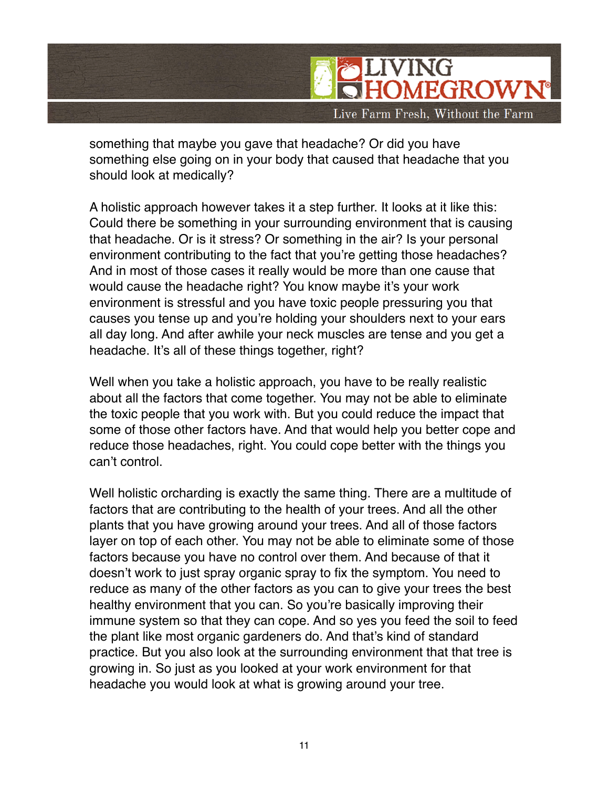

something that maybe you gave that headache? Or did you have something else going on in your body that caused that headache that you should look at medically?

A holistic approach however takes it a step further. It looks at it like this: Could there be something in your surrounding environment that is causing that headache. Or is it stress? Or something in the air? Is your personal environment contributing to the fact that you're getting those headaches? And in most of those cases it really would be more than one cause that would cause the headache right? You know maybe it's your work environment is stressful and you have toxic people pressuring you that causes you tense up and you're holding your shoulders next to your ears all day long. And after awhile your neck muscles are tense and you get a headache. It's all of these things together, right?

Well when you take a holistic approach, you have to be really realistic about all the factors that come together. You may not be able to eliminate the toxic people that you work with. But you could reduce the impact that some of those other factors have. And that would help you better cope and reduce those headaches, right. You could cope better with the things you can't control.

Well holistic orcharding is exactly the same thing. There are a multitude of factors that are contributing to the health of your trees. And all the other plants that you have growing around your trees. And all of those factors layer on top of each other. You may not be able to eliminate some of those factors because you have no control over them. And because of that it doesn't work to just spray organic spray to fix the symptom. You need to reduce as many of the other factors as you can to give your trees the best healthy environment that you can. So you're basically improving their immune system so that they can cope. And so yes you feed the soil to feed the plant like most organic gardeners do. And that's kind of standard practice. But you also look at the surrounding environment that that tree is growing in. So just as you looked at your work environment for that headache you would look at what is growing around your tree.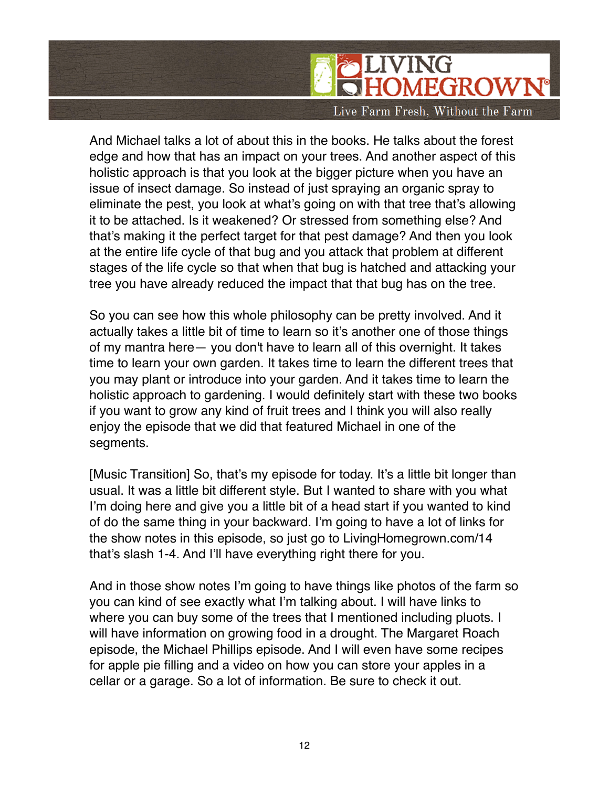**NEXT LIVING** OMEGROWI

Live Farm Fresh, Without the Farm

And Michael talks a lot of about this in the books. He talks about the forest edge and how that has an impact on your trees. And another aspect of this holistic approach is that you look at the bigger picture when you have an issue of insect damage. So instead of just spraying an organic spray to eliminate the pest, you look at what's going on with that tree that's allowing it to be attached. Is it weakened? Or stressed from something else? And that's making it the perfect target for that pest damage? And then you look at the entire life cycle of that bug and you attack that problem at different stages of the life cycle so that when that bug is hatched and attacking your tree you have already reduced the impact that that bug has on the tree.

So you can see how this whole philosophy can be pretty involved. And it actually takes a little bit of time to learn so it's another one of those things of my mantra here— you don't have to learn all of this overnight. It takes time to learn your own garden. It takes time to learn the different trees that you may plant or introduce into your garden. And it takes time to learn the holistic approach to gardening. I would definitely start with these two books if you want to grow any kind of fruit trees and I think you will also really enjoy the episode that we did that featured Michael in one of the segments.

[Music Transition] So, that's my episode for today. It's a little bit longer than usual. It was a little bit different style. But I wanted to share with you what I'm doing here and give you a little bit of a head start if you wanted to kind of do the same thing in your backward. I'm going to have a lot of links for the show notes in this episode, so just go to LivingHomegrown.com/14 that's slash 1-4. And I'll have everything right there for you.

And in those show notes I'm going to have things like photos of the farm so you can kind of see exactly what I'm talking about. I will have links to where you can buy some of the trees that I mentioned including pluots. I will have information on growing food in a drought. The Margaret Roach episode, the Michael Phillips episode. And I will even have some recipes for apple pie filling and a video on how you can store your apples in a cellar or a garage. So a lot of information. Be sure to check it out.